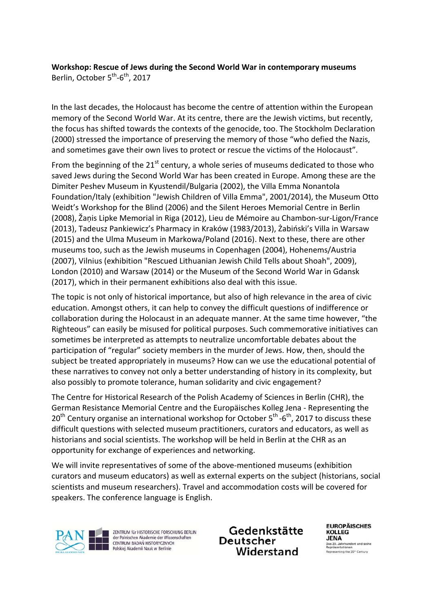### **Workshop: Rescue of Jews during the Second World War in contemporary museums**  Berlin, October 5<sup>th</sup>-6<sup>th</sup>, 2017

In the last decades, the Holocaust has become the centre of attention within the European memory of the Second World War. At its centre, there are the Jewish victims, but recently, the focus has shifted towards the contexts of the genocide, too. The Stockholm Declaration (2000) stressed the importance of preserving the memory of those "who defied the Nazis, and sometimes gave their own lives to protect or rescue the victims of the Holocaust".

From the beginning of the  $21^{st}$  century, a whole series of museums dedicated to those who saved Jews during the Second World War has been created in Europe. Among these are the Dimiter Peshev Museum in Kyustendil/Bulgaria (2002), the Villa Emma Nonantola Foundation/Italy (exhibition "Jewish Children of Villa Emma", 2001/2014), the Museum Otto Weidt's Workshop for the Blind (2006) and the Silent Heroes Memorial Centre in Berlin (2008), Žaņis Lipke Memorial in Riga (2012), Lieu de Mémoire au Chambon‐sur‐Ligon/France (2013), Tadeusz Pankiewicz's Pharmacy in Kraków (1983/2013), Żabiński's Villa in Warsaw (2015) and the Ulma Museum in Markowa/Poland (2016). Next to these, there are other museums too, such as the Jewish museums in Copenhagen (2004), Hohenems/Austria (2007), Vilnius (exhibition "Rescued Lithuanian Jewish Child Tells about Shoah", 2009), London (2010) and Warsaw (2014) or the Museum of the Second World War in Gdansk (2017), which in their permanent exhibitions also deal with this issue.

The topic is not only of historical importance, but also of high relevance in the area of civic education. Amongst others, it can help to convey the difficult questions of indifference or collaboration during the Holocaust in an adequate manner. At the same time however, "the Righteous" can easily be misused for political purposes. Such commemorative initiatives can sometimes be interpreted as attempts to neutralize uncomfortable debates about the participation of "regular" society members in the murder of Jews. How, then, should the subject be treated appropriately in museums? How can we use the educational potential of these narratives to convey not only a better understanding of history in its complexity, but also possibly to promote tolerance, human solidarity and civic engagement?

The Centre for Historical Research of the Polish Academy of Sciences in Berlin (CHR), the German Resistance Memorial Centre and the Europäisches Kolleg Jena ‐ Representing the  $20<sup>th</sup>$  Century organise an international workshop for October  $5<sup>th</sup>$  -6<sup>th</sup>, 2017 to discuss these difficult questions with selected museum practitioners, curators and educators, as well as historians and social scientists. The workshop will be held in Berlin at the CHR as an opportunity for exchange of experiences and networking.

We will invite representatives of some of the above-mentioned museums (exhibition curators and museum educators) as well as external experts on the subject (historians, social scientists and museum researchers). Travel and accommodation costs will be covered for speakers. The conference language is English.



ZENTRUM für HISTORISCHE FORSCHUNG BERLIN<br>der Polnischen Akademie der Wissenschaften CENTRUM BADAŃ HISTORYCZNYCH Polskiej Akademii Nauk w Berlinie

Gedenkstätte Deutscher Widerstand

**EUROPÄISCHES** KOLLEG **JENA** Das 20. Jahrhundert und seine<br>Repräsentationen<br>Representing the 20<sup>th</sup> Century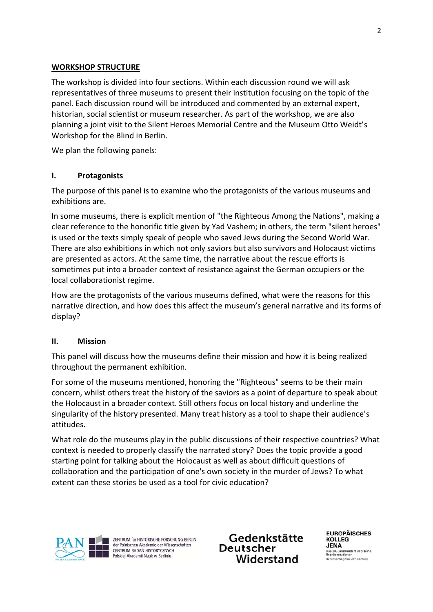# **WORKSHOP STRUCTURE**

The workshop is divided into four sections. Within each discussion round we will ask representatives of three museums to present their institution focusing on the topic of the panel. Each discussion round will be introduced and commented by an external expert, historian, social scientist or museum researcher. As part of the workshop, we are also planning a joint visit to the Silent Heroes Memorial Centre and the Museum Otto Weidt's Workshop for the Blind in Berlin.

We plan the following panels:

### **I. Protagonists**

The purpose of this panel is to examine who the protagonists of the various museums and exhibitions are.

In some museums, there is explicit mention of "the Righteous Among the Nations", making a clear reference to the honorific title given by Yad Vashem; in others, the term "silent heroes" is used or the texts simply speak of people who saved Jews during the Second World War. There are also exhibitions in which not only saviors but also survivors and Holocaust victims are presented as actors. At the same time, the narrative about the rescue efforts is sometimes put into a broader context of resistance against the German occupiers or the local collaborationist regime.

How are the protagonists of the various museums defined, what were the reasons for this narrative direction, and how does this affect the museum's general narrative and its forms of display?

# **II. Mission**

This panel will discuss how the museums define their mission and how it is being realized throughout the permanent exhibition.

For some of the museums mentioned, honoring the "Righteous" seems to be their main concern, whilst others treat the history of the saviors as a point of departure to speak about the Holocaust in a broader context. Still others focus on local history and underline the singularity of the history presented. Many treat history as a tool to shape their audience's attitudes.

What role do the museums play in the public discussions of their respective countries? What context is needed to properly classify the narrated story? Does the topic provide a good starting point for talking about the Holocaust as well as about difficult questions of collaboration and the participation of one's own society in the murder of Jews? To what extent can these stories be used as a tool for civic education?



ZENTRUM für HISTORISCHE FORSCHUNG BERLIN der Polnischen Akademie der Wissenschaften CENTRUM BADAŃ HISTORYCZNYCH<br>Polskiej Akademii Nauk w Berlinie

Gedenkstätte Deutscher Widerstand

**FUROPÄISCHES** KOLLEG **JENA** Das 20. Jahrhundert und seine rasentationen<br>resenting the 20<sup>\*</sup> Century